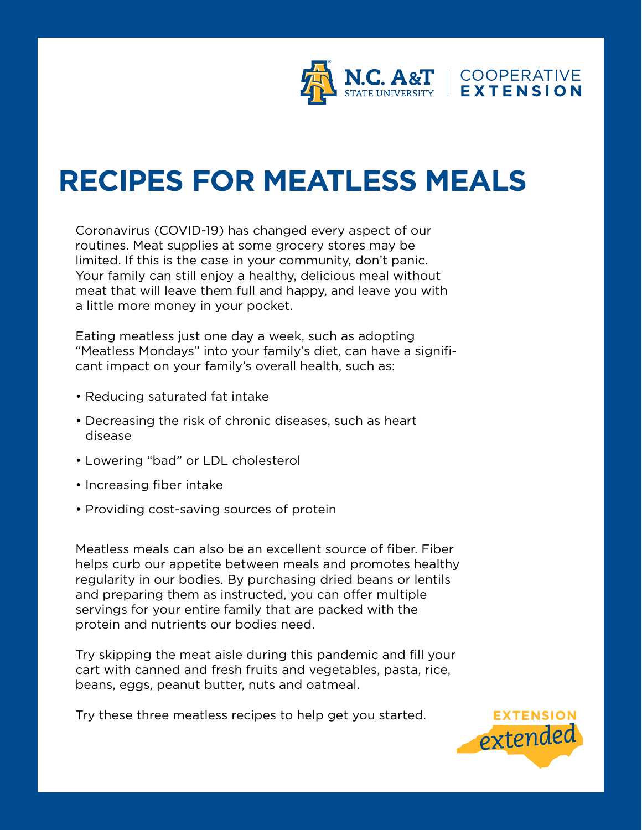

# **RECIPES FOR MEATLESS MEALS**

Coronavirus (COVID-19) has changed every aspect of our routines. Meat supplies at some grocery stores may be limited. If this is the case in your community, don't panic. Your family can still enjoy a healthy, delicious meal without meat that will leave them full and happy, and leave you with a little more money in your pocket.

Eating meatless just one day a week, such as adopting "Meatless Mondays" into your family's diet, can have a significant impact on your family's overall health, such as:

- Reducing saturated fat intake
- Decreasing the risk of chronic diseases, such as heart disease
- Lowering "bad" or LDL cholesterol
- Increasing fiber intake
- Providing cost-saving sources of protein

Meatless meals can also be an excellent source of fiber. Fiber helps curb our appetite between meals and promotes healthy regularity in our bodies. By purchasing dried beans or lentils and preparing them as instructed, you can offer multiple servings for your entire family that are packed with the protein and nutrients our bodies need.

Try skipping the meat aisle during this pandemic and fill your cart with canned and fresh fruits and vegetables, pasta, rice, beans, eggs, peanut butter, nuts and oatmeal.

Try these three meatless recipes to help get you started.

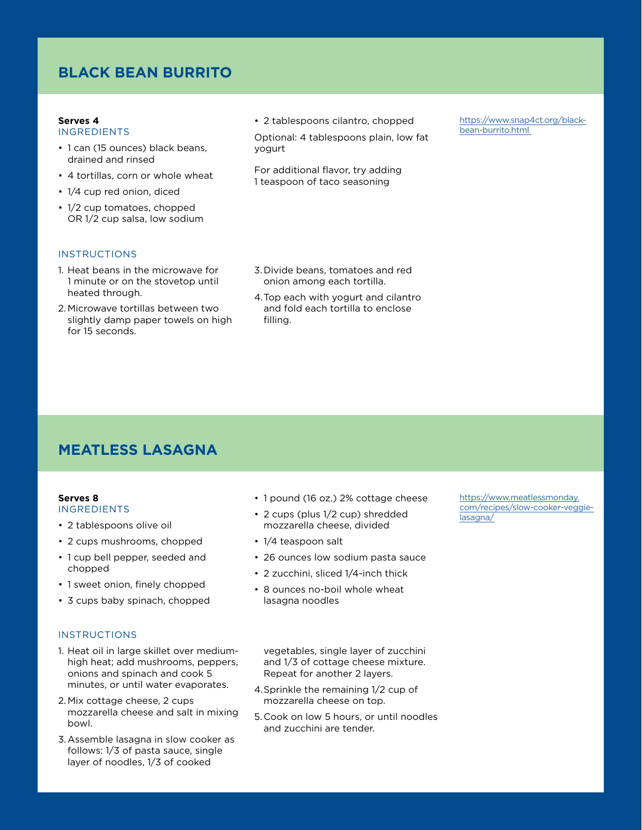## **BLACK BEAN BURRITO**

## **Serves 4**

- INGREDIENTS
- 1 can (15 ounces) black beans, drained and rinsed
- 4 tortillas, corn or whole wheat
- 1/4 cup red onion, diced
- 1/2 cup tomatoes, chopped OR 1/2 cup salsa, low sodium
- **INSTRUCTIONS**

#### 1. Heat beans in the microwave for 1 minute or on the stovetop until heated through.

2. Microwave tortillas between two slightly damp paper towels on high for 15 seconds.

• 2 tablespoons cilantro, chopped

Optional: 4 tablespoons plain, low fat yogurt

For additional flavor, try adding 1 teaspoon of taco seasoning

[https://www.snap4ct.org/black](https://www.snap4ct.org/black-bean-burrito.html)[bean-burrito.html](https://www.snap4ct.org/black-bean-burrito.html) 

- 3.Divide beans, tomatoes and red onion among each tortilla.
- 4.Top each with yogurt and cilantro and fold each tortilla to enclose filling.

# **MEATLESS LASAGNA**

#### **Serves 8** INGREDIENTS

- 2 tablespoons olive oil
- 2 cups mushrooms, chopped
- 1 cup bell pepper, seeded and chopped
- 1 sweet onion, finely chopped
- 3 cups baby spinach, chopped

## **INSTRUCTIONS**

- 1. Heat oil in large skillet over mediumhigh heat; add mushrooms, peppers, onions and spinach and cook 5 minutes, or until water evaporates.
- 2. Mix cottage cheese, 2 cups mozzarella cheese and salt in mixing bowl.
- 3.Assemble lasagna in slow cooker as follows: 1/3 of pasta sauce, single layer of noodles, 1/3 of cooked
- 1 pound (16 oz.) 2% cottage cheese
- 2 cups (plus 1/2 cup) shredded mozzarella cheese, divided
- 1/4 teaspoon salt
- 26 ounces low sodium pasta sauce
- 2 zucchini, sliced 1/4-inch thick
- 8 ounces no-boil whole wheat lasagna noodles

vegetables, single layer of zucchini and 1/3 of cottage cheese mixture. Repeat for another 2 layers.

- 4.Sprinkle the remaining 1/2 cup of mozzarella cheese on top.
- 5.Cook on low 5 hours, or until noodles and zucchini are tender.

[https://www.meatlessmonday.](https://www.meatlessmonday.com/recipes/slow-cooker-veggie-lasagna/) [com/recipes/slow-cooker-veggie](https://www.meatlessmonday.com/recipes/slow-cooker-veggie-lasagna/)[lasagna/](https://www.meatlessmonday.com/recipes/slow-cooker-veggie-lasagna/)